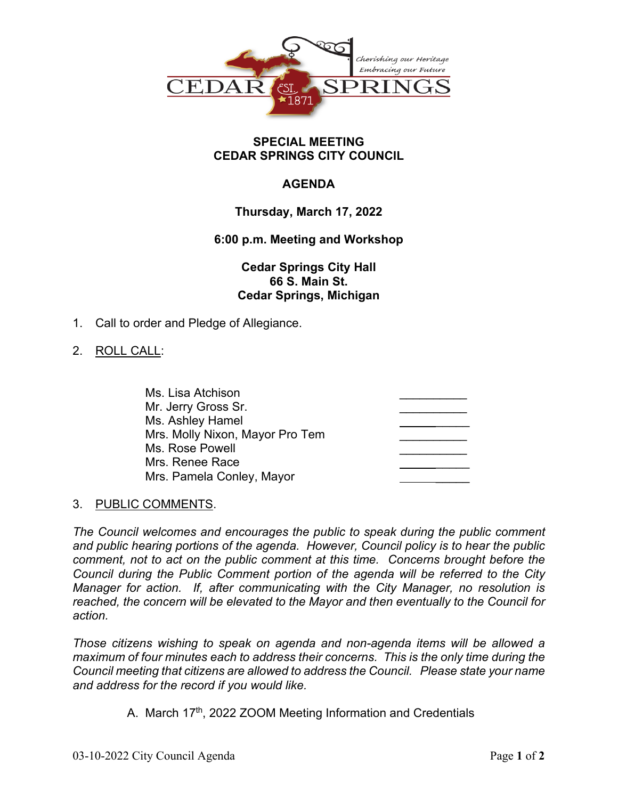

#### **SPECIAL MEETING CEDAR SPRINGS CITY COUNCIL**

# **AGENDA**

## **Thursday, March 17, 2022**

## **6:00 p.m. Meeting and Workshop**

## **Cedar Springs City Hall 66 S. Main St. Cedar Springs, Michigan**

1. Call to order and Pledge of Allegiance.

### 2. ROLL CALL:

| Ms. Lisa Atchison               |  |
|---------------------------------|--|
| Mr. Jerry Gross Sr.             |  |
| Ms. Ashley Hamel                |  |
| Mrs. Molly Nixon, Mayor Pro Tem |  |
| Ms. Rose Powell                 |  |
| Mrs. Renee Race                 |  |
| Mrs. Pamela Conley, Mayor       |  |

#### 3. PUBLIC COMMENTS.

*The Council welcomes and encourages the public to speak during the public comment and public hearing portions of the agenda. However, Council policy is to hear the public comment, not to act on the public comment at this time. Concerns brought before the Council during the Public Comment portion of the agenda will be referred to the City Manager for action. If, after communicating with the City Manager, no resolution is reached, the concern will be elevated to the Mayor and then eventually to the Council for action.*

*Those citizens wishing to speak on agenda and non-agenda items will be allowed a maximum of four minutes each to address their concerns. This is the only time during the Council meeting that citizens are allowed to address the Council. Please state your name and address for the record if you would like.*

A. March 17<sup>th</sup>, 2022 ZOOM Meeting Information and Credentials